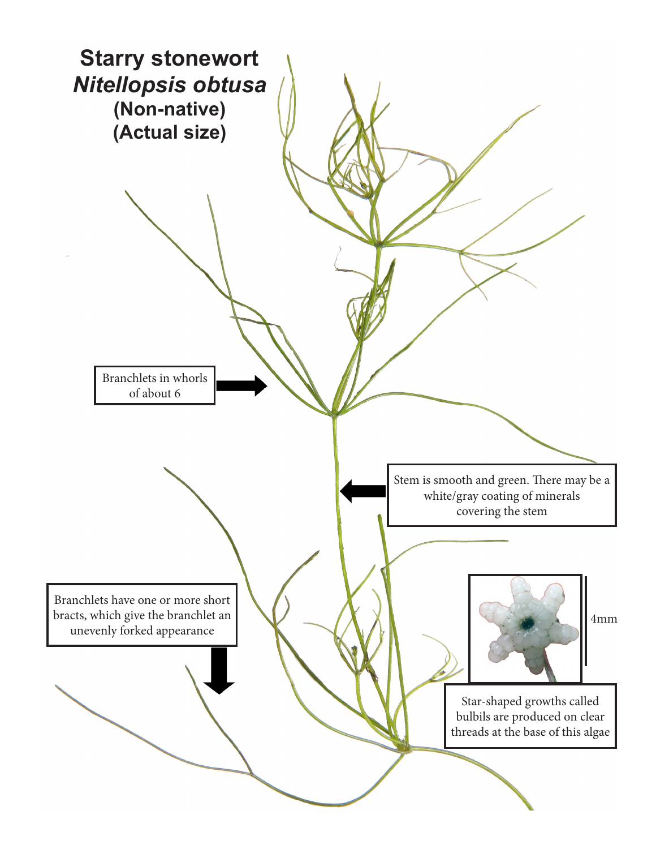